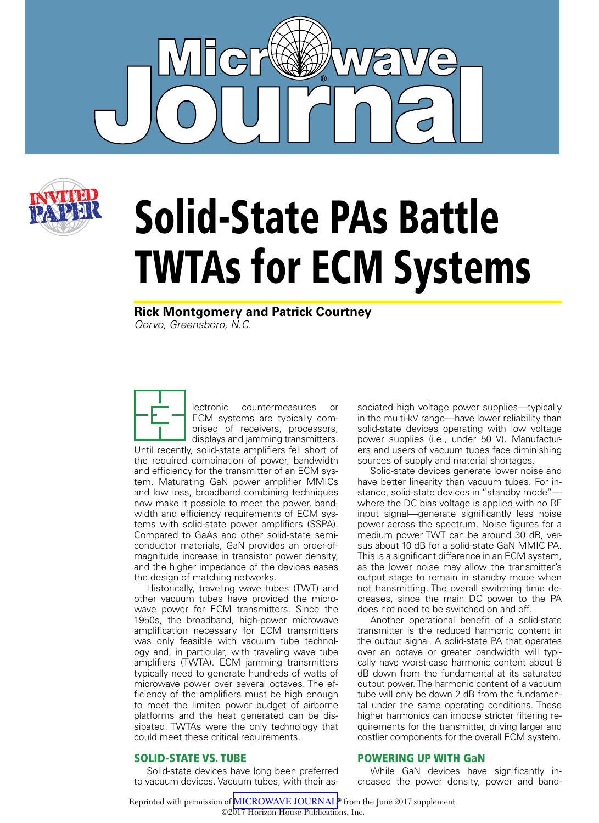



# Solid-State PAs Battle TWTAs for ECM Systems

**Rick Montgomery and Patrick Courtney** *Qorvo, Greensboro, N.C.*

lectronic countermeasures or ECM systems are typically comprised of receivers, processors, displays and jamming transmitters. Until recently, solid-state amplifiers fell short of the required combination of power, bandwidth and efficiency for the transmitter of an ECM system. Maturating GaN power amplifier MMICs and low loss, broadband combining techniques now make it possible to meet the power, bandwidth and efficiency requirements of ECM systems with solid-state power amplifiers (SSPA). Compared to GaAs and other solid-state semiconductor materials, GaN provides an order-ofmagnitude increase in transistor power density, and the higher impedance of the devices eases the design of matching networks.

Historically, traveling wave tubes (TWT) and other vacuum tubes have provided the microwave power for ECM transmitters. Since the 1950s, the broadband, high-power microwave amplification necessary for ECM transmitters was only feasible with vacuum tube technology and, in particular, with traveling wave tube amplifiers (TWTA). ECM jamming transmitters typically need to generate hundreds of watts of microwave power over several octaves. The efficiency of the amplifiers must be high enough to meet the limited power budget of airborne platforms and the heat generated can be dissipated. TWTAs were the only technology that could meet these critical requirements.

#### SOLID-STATE VS. TUBE

Solid-state devices have long been preferred to vacuum devices. Vacuum tubes, with their associated high voltage power supplies—typically in the multi-kV range—have lower reliability than solid-state devices operating with low voltage power supplies (i.e., under 50 V). Manufacturers and users of vacuum tubes face diminishing sources of supply and material shortages.

Solid-state devices generate lower noise and have better linearity than vacuum tubes. For instance, solid-state devices in "standby mode" where the DC bias voltage is applied with no RF input signal—generate significantly less noise power across the spectrum. Noise figures for a medium power TWT can be around 30 dB, versus about 10 dB for a solid-state GaN MMIC PA. This is a significant difference in an ECM system, as the lower noise may allow the transmitter's output stage to remain in standby mode when not transmitting. The overall switching time decreases, since the main DC power to the PA does not need to be switched on and off.

Another operational benefit of a solid-state transmitter is the reduced harmonic content in the output signal. A solid-state PA that operates over an octave or greater bandwidth will typically have worst-case harmonic content about 8 dB down from the fundamental at its saturated output power. The harmonic content of a vacuum tube will only be down 2 dB from the fundamental under the same operating conditions. These higher harmonics can impose stricter filtering requirements for the transmitter, driving larger and costlier components for the overall ECM system.

#### POWERING UP WITH GaN

While GaN devices have significantly increased the power density, power and band-

Reprinted with permission of [MICROWAVE JOURNAL](http://mwjournal.com)**®** from the June 2017 supplement. ©2017 Horizon House Publications, Inc.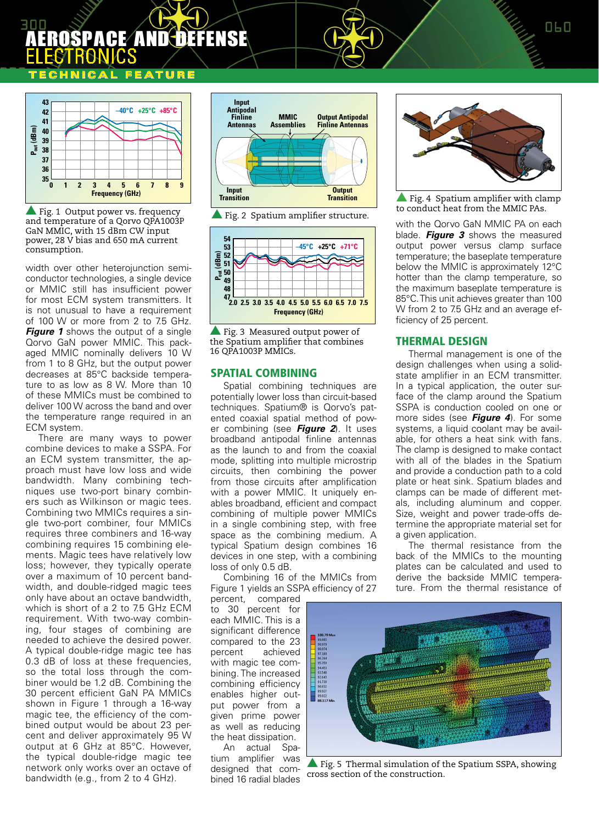## Aerospace and defense **ELECTRONICS**

## **ATURE**



 $\blacktriangle$  Fig. 1 Output power vs. frequency and temperature of a Qorvo QPA1003P GaN MMIC, with 15 dBm CW input power, 28 V bias and 650 mA current consumption.

width over other heterojunction semiconductor technologies, a single device or MMIC still has insufficient power for most ECM system transmitters. It is not unusual to have a requirement of 100 W or more from 2 to 7.5 GHz. **Figure 1** shows the output of a single Qorvo GaN power MMIC. This packaged MMIC nominally delivers 10 W from 1 to 8 GHz, but the output power decreases at 85°C backside temperature to as low as 8 W. More than 10 of these MMICs must be combined to deliver 100 W across the band and over the temperature range required in an ECM system.

There are many ways to power combine devices to make a SSPA. For an ECM system transmitter, the approach must have low loss and wide bandwidth. Many combining techniques use two-port binary combiners such as Wilkinson or magic tees. Combining two MMICs requires a single two-port combiner, four MMICs requires three combiners and 16-way combining requires 15 combining elements. Magic tees have relatively low loss; however, they typically operate over a maximum of 10 percent bandwidth, and double-ridged magic tees only have about an octave bandwidth, which is short of a 2 to 7.5 GHz ECM requirement. With two-way combining, four stages of combining are needed to achieve the desired power. A typical double-ridge magic tee has 0.3 dB of loss at these frequencies, so the total loss through the combiner would be 1.2 dB. Combining the 30 percent efficient GaN PA MMICs shown in Figure 1 through a 16-way magic tee, the efficiency of the combined output would be about 23 percent and deliver approximately 95 W output at 6 GHz at 85°C. However, the typical double-ridge magic tee network only works over an octave of bandwidth (e.g., from 2 to 4 GHz).



 $\blacktriangle$  Fig. 2 Spatium amplifier structure.



 $\blacktriangle$  Fig. 3 Measured output power of the Spatium amplifier that combines 16 QPA1003P MMICs.

#### SPATIAL COMBINING

Spatial combining techniques are potentially lower loss than circuit-based techniques. Spatium® is Qorvo's patented coaxial spatial method of power combining (see *Figure 2*). It uses broadband antipodal finline antennas as the launch to and from the coaxial mode, splitting into multiple microstrip circuits, then combining the power from those circuits after amplification with a power MMIC. It uniquely enables broadband, efficient and compact combining of multiple power MMICs in a single combining step, with free space as the combining medium. A typical Spatium design combines 16 devices in one step, with a combining loss of only 0.5 dB.

Combining 16 of the MMICs from Figure 1 yields an SSPA efficiency of 27

percent, compared to 30 percent for each MMIC. This is a significant difference compared to the 23 percent achieved with magic tee combining. The increased combining efficiency enables higher output power from a given prime power as well as reducing the heat dissipation. An actual Spa-

tium amplifier was designed that combined 16 radial blades



 $\triangle$  Fig. 4 Spatium amplifier with clamp to conduct heat from the MMIC PAs.

with the Qorvo GaN MMIC PA on each blade. *Figure 3* shows the measured output power versus clamp surface temperature; the baseplate temperature below the MMIC is approximately 12°C hotter than the clamp temperature, so the maximum baseplate temperature is 85°C. This unit achieves greater than 100 W from 2 to 7.5 GHz and an average efficiency of 25 percent.

#### THERMAL DESIGN

Thermal management is one of the design challenges when using a solidstate amplifier in an ECM transmitter. In a typical application, the outer surface of the clamp around the Spatium SSPA is conduction cooled on one or more sides (see *Figure 4*). For some systems, a liquid coolant may be available, for others a heat sink with fans. The clamp is designed to make contact with all of the blades in the Spatium and provide a conduction path to a cold plate or heat sink. Spatium blades and clamps can be made of different metals, including aluminum and copper. Size, weight and power trade-offs determine the appropriate material set for a given application.

The thermal resistance from the back of the MMICs to the mounting plates can be calculated and used to derive the backside MMIC temperature. From the thermal resistance of



 $\blacktriangle$  Fig. 5 Thermal simulation of the Spatium SSPA, showing cross section of the construction.